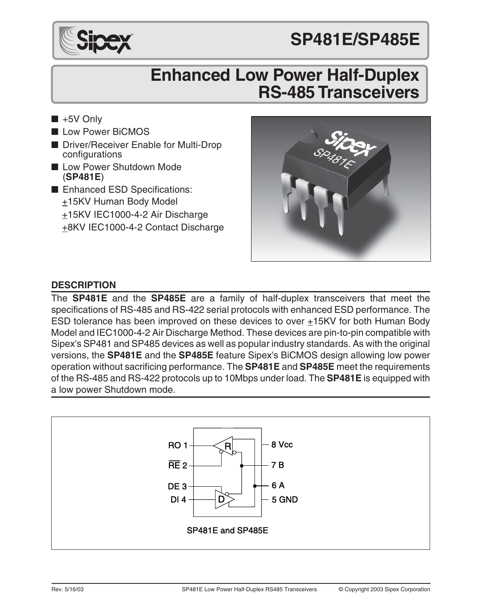



# **Enhanced Low Power Half-Duplex RS-485 Transceivers**

- $\blacksquare$  +5V Only
- Low Power BiCMOS
- Driver/Receiver Enable for Multi-Drop configurations
- Low Power Shutdown Mode (**SP481E**)
- Enhanced ESD Specifications: +15KV Human Body Model +15KV IEC1000-4-2 Air Discharge +8KV IEC1000-4-2 Contact Discharge



### **DESCRIPTION**

The **SP481E** and the **SP485E** are a family of half-duplex transceivers that meet the specifications of RS-485 and RS-422 serial protocols with enhanced ESD performance. The ESD tolerance has been improved on these devices to over  $\pm$ 15KV for both Human Body Model and IEC1000-4-2 Air Discharge Method. These devices are pin-to-pin compatible with Sipex's SP481 and SP485 devices as well as popular industry standards. As with the original versions, the **SP481E** and the **SP485E** feature Sipex's BiCMOS design allowing low power operation without sacrificing performance. The **SP481E** and **SP485E** meet the requirements of the RS-485 and RS-422 protocols up to 10Mbps under load. The **SP481E** is equipped with a low power Shutdown mode.

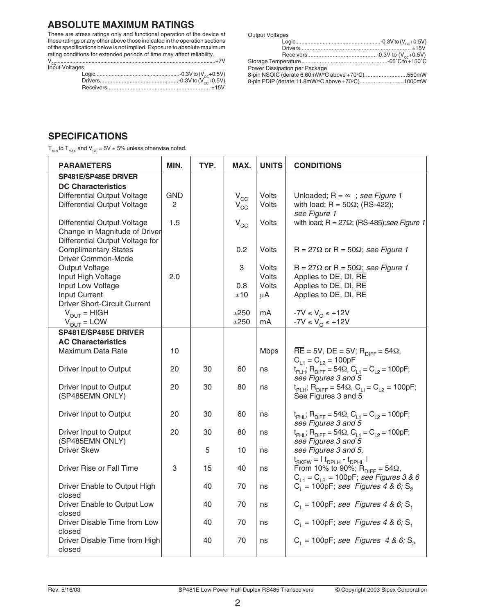#### **ABSOLUTE MAXIMUM RATINGS**

These are stress ratings only and functional operation of the device at these ratings or any other above those indicated in the operation sections of the specifications below is not implied. Exposure to absolute maximum rating conditions for extended periods of time may affect reliability. VCC............................................................................................................+7V Input Voltages Logic........................................................-0.3V to (VCC+0.5V)

| ה |  |
|---|--|
|   |  |
|   |  |
|   |  |
|   |  |

| <b>Output Voltages</b>                          |  |
|-------------------------------------------------|--|
|                                                 |  |
|                                                 |  |
|                                                 |  |
|                                                 |  |
| Power Dissipation per Package                   |  |
| 8-pin NSOIC (derate 6.60mW/°C above +70°C)550mW |  |
| 8-pin PDIP (derate 11.8mW/°C above +70°C)1000mW |  |

#### **SPECIFICATIONS**

 $T_{MN}$  to  $T_{MAX}$  and  $V_{CC} = 5V \pm 5%$  unless otherwise noted.

| <b>PARAMETERS</b>                                              | MIN.       | TYP. | MAX.                       | <b>UNITS</b>   | <b>CONDITIONS</b>                                                                                                      |
|----------------------------------------------------------------|------------|------|----------------------------|----------------|------------------------------------------------------------------------------------------------------------------------|
| SP481E/SP485E DRIVER<br><b>DC Characteristics</b>              |            |      |                            |                |                                                                                                                        |
| Differential Output Voltage                                    | <b>GND</b> |      | $V_{\rm CC}$               | Volts          | Unloaded; $R = \infty$ ; see Figure 1                                                                                  |
| Differential Output Voltage                                    | 2          |      | $V_{CC}$                   | Volts          | with load; $R = 50\Omega$ ; (RS-422);<br>see Figure 1                                                                  |
| Differential Output Voltage                                    | 1.5        |      | $\mathsf{V}_{\mathsf{CC}}$ | Volts          | with load; $R = 27\Omega$ ; (RS-485); see Figure 1                                                                     |
| Change in Magnitude of Driver                                  |            |      |                            |                |                                                                                                                        |
| Differential Output Voltage for<br><b>Complimentary States</b> |            |      | 0.2                        | Volts          | $R = 27\Omega$ or $R = 50\Omega$ ; see Figure 1                                                                        |
| <b>Driver Common-Mode</b>                                      |            |      |                            |                |                                                                                                                        |
| Output Voltage<br>Input High Voltage                           | 2.0        |      | 3                          | Volts<br>Volts | $R = 27\Omega$ or $R = 50\Omega$ ; see Figure 1<br>Applies to DE, DI, RE                                               |
| Input Low Voltage                                              |            |      | 0.8                        | Volts          | Applies to DE, DI, RE                                                                                                  |
| Input Current<br><b>Driver Short-Circuit Current</b>           |            |      | ±10                        | μA             | Applies to DE, DI, RE                                                                                                  |
| $V_{OUT} = HIGH$                                               |            |      | ±250                       | mA             | $-7V \le V_{O} \le +12V$                                                                                               |
| $V_{OUT} = LOW$                                                |            |      | ±250                       | mA             | $-7V \le V_0 \le +12V$                                                                                                 |
| SP481E/SP485E DRIVER<br><b>AC Characteristics</b>              |            |      |                            |                |                                                                                                                        |
| Maximum Data Rate                                              | 10         |      |                            | <b>Mbps</b>    | $\overline{\text{RE}}$ = 5V, DE = 5V; $\overline{\text{R}}_{\text{DIFF}}$ = 54 $\Omega$ ,                              |
|                                                                |            |      |                            |                | $C_{11} = C_{12} = 100pF$                                                                                              |
| Driver Input to Output                                         | 20         | 30   | 60                         | ns             | $t_{\text{PLH}}$ ; R <sub>DIFF</sub> = 54 $\Omega$ , C <sub>L1</sub> = C <sub>L2</sub> = 100pF;<br>see Figures 3 and 5 |
| Driver Input to Output                                         | 20         | 30   | 80                         | ns             | $t_{PLH}$ ; R <sub>DIFF</sub> = 54 $\Omega$ , C <sub>LI</sub> = C <sub>L2</sub> = 100pF;                               |
| (SP485EMN ONLY)                                                |            |      |                            |                | See Figures 3 and 5                                                                                                    |
| Driver Input to Output                                         | 20         | 30   | 60                         | ns             | $t_{\text{PHL}}$ ; R <sub>DIFF</sub> = 54 $\Omega$ , C <sub>L1</sub> = C <sub>L2</sub> = 100pF;                        |
| Driver Input to Output                                         | 20         | 30   | 80                         | ns             | see Figures 3 and 5<br>$t_{PHL}$ ; R <sub>DIFF</sub> = 54 $\Omega$ , C <sub>L1</sub> = C <sub>L2</sub> = 100pF;        |
| (SP485EMN ONLY)                                                |            |      |                            |                | see Figures 3 and 5                                                                                                    |
| <b>Driver Skew</b>                                             |            | 5    | 10                         | ns             | see Figures 3 and 5.                                                                                                   |
| Driver Rise or Fall Time                                       | 3          | 15   | 40                         | ns             | $t_{SKEW} =   t_{DPLH} - t_{DPHL}  $<br>From 10% to 90%; $R_{\text{DIFF}} = 54\Omega$ ,                                |
|                                                                |            |      |                            |                | $C_{1,1} = C_{1,2} = 100pF$ ; see Figures 3 & 6                                                                        |
| Driver Enable to Output High<br>closed                         |            | 40   | 70                         | ns             | $C_1 = 100$ pF; see Figures 4 & 6; S <sub>2</sub>                                                                      |
| Driver Enable to Output Low                                    |            | 40   | 70                         | ns             | $C_1 = 100pF$ ; see Figures 4 & 6; S <sub>1</sub>                                                                      |
| closed<br>Driver Disable Time from Low                         |            | 40   | 70                         | ns             | $C_1 = 100pF$ ; see Figures 4 & 6; S <sub>1</sub>                                                                      |
| closed                                                         |            |      |                            |                |                                                                                                                        |
| Driver Disable Time from High                                  |            | 40   | 70                         | ns             | $C_1$ = 100pF; see Figures 4 & 6; S <sub>2</sub>                                                                       |
| closed                                                         |            |      |                            |                |                                                                                                                        |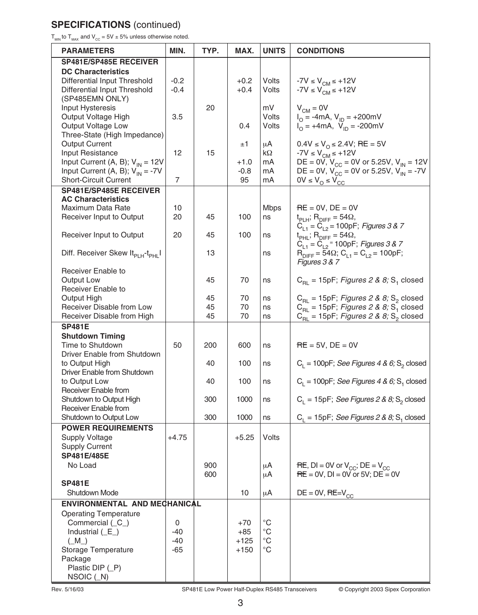## **SPECIFICATIONS** (continued)

 $T_{\text{MIN}}$  to  $T_{\text{MAX}}$  and  $V_{\text{CC}} = 5V \pm 5\%$  unless otherwise noted.

| <b>PARAMETERS</b>                                          | MIN.    | TYP. | MAX.    | <b>UNITS</b> | <b>CONDITIONS</b>                                                         |
|------------------------------------------------------------|---------|------|---------|--------------|---------------------------------------------------------------------------|
| SP481E/SP485E RECEIVER                                     |         |      |         |              |                                                                           |
| <b>DC Characteristics</b>                                  |         |      |         |              |                                                                           |
| Differential Input Threshold                               | $-0.2$  |      | $+0.2$  | Volts        | -7V $\leq$ $V_{\text{CM}}$ $\leq$ +12V                                    |
| Differential Input Threshold                               | $-0.4$  |      | $+0.4$  | Volts        | $-7V \le V_{CM} \le +12V$                                                 |
| (SP485EMN ONLY)                                            |         |      |         |              |                                                                           |
| Input Hysteresis                                           |         | 20   |         | mV           | $V_{CM} = 0V$                                                             |
| Output Voltage High                                        | 3.5     |      |         | Volts        | $I_{\text{O}} = -4 \text{mA}, V_{\text{ID}} = +200 \text{mV}$             |
| Output Voltage Low                                         |         |      | 0.4     | Volts        | $V_{\text{O}} = +4 \text{mA}, V_{\text{ID}} = -200 \text{mV}$             |
| Three-State (High Impedance)                               |         |      |         |              |                                                                           |
| <b>Output Current</b>                                      |         |      | ±1      | μA           | $0.4V \le V_0 \le 2.4V$ ; RE = 5V                                         |
| Input Resistance                                           | 12      | 15   |         | kΩ           | $-7V \le VCM \le +12V$                                                    |
| Input Current (A, B); $V_{IN} = 12V$                       |         |      | +1.0    | mA           | DE = 0V, $V_{CC}$ = 0V or 5.25V, $V_{IN}$ = 12V                           |
| Input Current (A, B); $V_{IN} = -7V$                       |         |      | $-0.8$  | mA           | DE = 0V, $V_{CC} = 0V$ or 5.25V, $V_{IN}'' = -7V$                         |
| <b>Short-Circuit Current</b>                               | 7       |      | 95      | mA           | $0V \leq V_{\Omega} \leq V_{\text{CC}}$                                   |
| <b>SP481E/SP485E RECEIVER</b>                              |         |      |         |              |                                                                           |
| <b>AC Characteristics</b>                                  |         |      |         |              |                                                                           |
| Maximum Data Rate                                          | 10      |      |         | <b>Mbps</b>  | $RE = 0V$ , $DE = 0V$                                                     |
| Receiver Input to Output                                   | 20      | 45   | 100     | ns           | $t_{\text{PLH}}$ ; R <sub>DIFF</sub> = 54 $\Omega$ ,                      |
|                                                            |         |      |         |              | $C_{L1} = C_{L2} = 100pF$ ; Figures 3 & 7                                 |
| Receiver Input to Output                                   | 20      | 45   | 100     | ns           | $t_{PHL}$ ; R <sub>DIFF</sub> = 54 $\Omega$ ,                             |
|                                                            |         |      |         |              | $C_{11} = \tilde{C}_{12}$ = 100pF; Figures 3 & 7                          |
| Diff. Receiver Skew It <sub>pl H</sub> -t <sub>pHI</sub> I |         | 13   |         | ns           | $R_{\text{DIFF}} = 54\Omega$ ; C <sub>L1</sub> = C <sub>L2</sub> = 100pF; |
|                                                            |         |      |         |              | Figures 3 & 7                                                             |
| Receiver Enable to                                         |         |      |         |              |                                                                           |
| Output Low                                                 |         | 45   | 70      | ns           | $C_{BL}$ = 15pF; Figures 2 & 8; S <sub>1</sub> closed                     |
| Receiver Enable to                                         |         |      |         |              |                                                                           |
| Output High                                                |         | 45   | 70      | ns           | $C_{\text{RI}}$ = 15pF; Figures 2 & 8; S <sub>2</sub> closed              |
| Receiver Disable from Low                                  |         | 45   | 70      | ns           | $C_{\text{RI}}$ = 15pF; Figures 2 & 8; S <sub>1</sub> closed              |
| Receiver Disable from High                                 |         | 45   | 70      | ns           | $C_{\text{BI}}$ = 15pF; Figures 2 & 8; S <sub>2</sub> closed              |
| <b>SP481E</b>                                              |         |      |         |              |                                                                           |
| <b>Shutdown Timing</b>                                     |         |      |         |              |                                                                           |
| Time to Shutdown                                           | 50      | 200  | 600     | ns           | $RE = 5V$ , $DE = 0V$                                                     |
| Driver Enable from Shutdown                                |         |      |         |              |                                                                           |
| to Output High                                             |         | 40   | 100     | ns           | $C_{L}$ = 100pF; See Figures 4 & 6; S <sub>2</sub> closed                 |
| Driver Enable from Shutdown                                |         |      |         |              |                                                                           |
| to Output Low                                              |         | 40   | 100     | ns           | $C_1 = 100pF$ ; See Figures 4 & 6; S <sub>1</sub> closed                  |
| Receiver Enable from                                       |         |      |         |              |                                                                           |
| Shutdown to Output High                                    |         | 300  | 1000    | ns           | $C_{L}$ = 15pF; See Figures 2 & 8; S <sub>2</sub> closed                  |
| Receiver Enable from                                       |         |      |         |              |                                                                           |
| Shutdown to Output Low                                     |         | 300  | 1000    | ns           | $C_1 = 15pF$ ; See Figures 2 & 8; S, closed                               |
| <b>POWER REQUIREMENTS</b>                                  |         |      |         |              |                                                                           |
| <b>Supply Voltage</b>                                      | $+4.75$ |      | $+5.25$ | Volts        |                                                                           |
| <b>Supply Current</b>                                      |         |      |         |              |                                                                           |
| SP481E/485E                                                |         |      |         |              |                                                                           |
| No Load                                                    |         | 900  |         | μA           | $RE$ , DI = 0V or $V_{CC}$ ; DE = $V_{CC}$                                |
|                                                            |         | 600  |         | μA           | $RE = 0V$ , DI = 0V or 5V; DE = 0V                                        |
| <b>SP481E</b>                                              |         |      |         |              |                                                                           |
| Shutdown Mode                                              |         |      | 10      | μA           | $DE = 0V$ , RE= $V_{CC}$                                                  |
| ENVIRONMENTAL AND MECHANICAL                               |         |      |         |              |                                                                           |
| <b>Operating Temperature</b>                               |         |      |         |              |                                                                           |
| Commercial (_C_)                                           | 0       |      | $+70$   | $^{\circ}C$  |                                                                           |
| Industrial $($ $E$ )                                       | -40     |      | $+85$   | °C           |                                                                           |
| $(M_$ )                                                    | -40     |      | $+125$  | $^{\circ}$ C |                                                                           |
| Storage Temperature                                        | -65     |      | +150    | °C           |                                                                           |
| Package                                                    |         |      |         |              |                                                                           |
| Plastic DIP (P)                                            |         |      |         |              |                                                                           |
| $NSOIC$ $(M)$                                              |         |      |         |              |                                                                           |

Rev. 5/16/03 SP481E Low Power Half-Duplex RS485 Transceivers © Copyright 2003 Sipex Corporation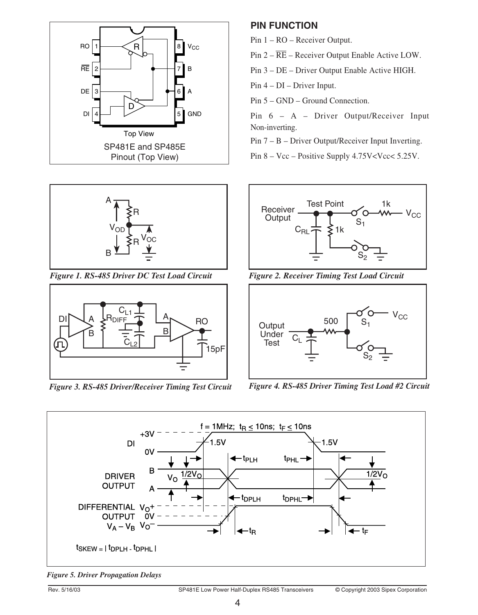





*Figure 3. RS-485 Driver/Receiver Timing Test Circuit Figure 4. RS-485 Driver Timing Test Load #2 Circuit*

#### **PIN FUNCTION**

Pin 1 – RO – Receiver Output.

Pin 2 – RE – Receiver Output Enable Active LOW.

Pin 3 – DE – Driver Output Enable Active HIGH.

Pin 4 – DI – Driver Input.

Pin 5 – GND – Ground Connection.

Pin 6 – A – Driver Output/Receiver Input Non-inverting.

Pin 7 – B – Driver Output/Receiver Input Inverting.

Pin 8 – Vcc – Positive Supply 4.75V<Vcc<5.25V.



*Figure 1. RS-485 Driver DC Test Load Circuit Figure 2. Receiver Timing Test Load Circuit*





*Figure 5. Driver Propagation Delays*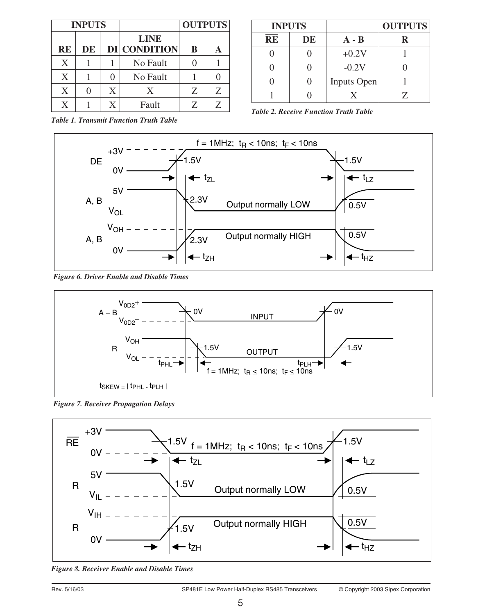|                        | <b>INPUTS</b> |   |                                    | <b>OUTPUTS</b> |    |
|------------------------|---------------|---|------------------------------------|----------------|----|
| $\overline{\text{RE}}$ | DE            |   | <b>LINE</b><br><b>DI CONDITION</b> | B              |    |
| X                      |               |   | No Fault                           |                |    |
| X                      |               |   | No Fault                           |                |    |
| X                      |               | X | X                                  | Z              | Z  |
| X                      |               | Y | Fault                              |                | 7. |

| <b>INPUTS</b> |    |                    | <b>OUTPUTS</b> |
|---------------|----|--------------------|----------------|
| <b>RE</b>     | DE | $A - B$            | R              |
|               |    | $+0.2V$            |                |
|               |    | $-0.2V$            |                |
|               |    | <b>Inputs Open</b> |                |
|               |    |                    | 7              |

*Table 1. Transmit Function Truth Table*





*Figure 6. Driver Enable and Disable Times*



*Figure 7. Receiver Propagation Delays*



*Figure 8. Receiver Enable and Disable Times*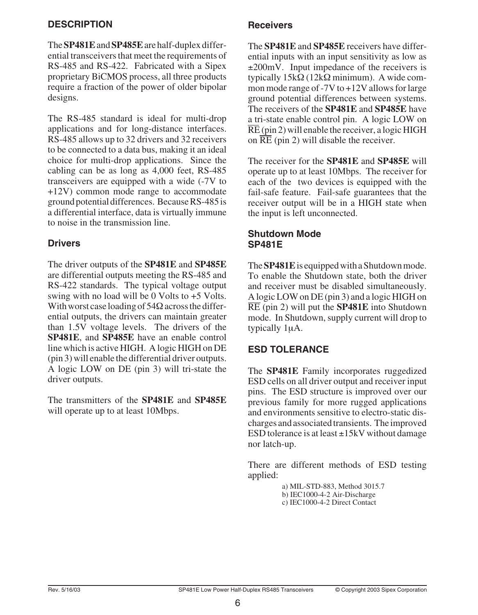#### **DESCRIPTION**

The **SP481E**and **SP485E**are half-duplex differential transceivers that meet the requirements of RS-485 and RS-422. Fabricated with a Sipex proprietary BiCMOS process, all three products require a fraction of the power of older bipolar designs.

The RS-485 standard is ideal for multi-drop applications and for long-distance interfaces. RS-485 allows up to 32 drivers and 32 receivers to be connected to a data bus, making it an ideal choice for multi-drop applications. Since the cabling can be as long as 4,000 feet, RS-485 transceivers are equipped with a wide (-7V to +12V) common mode range to accommodate ground potential differences. Because RS-485 is a differential interface, data is virtually immune to noise in the transmission line.

#### **Drivers**

The driver outputs of the **SP481E** and **SP485E** are differential outputs meeting the RS-485 and RS-422 standards. The typical voltage output swing with no load will be 0 Volts to +5 Volts. With worst case loading of  $54\Omega$  across the differential outputs, the drivers can maintain greater than 1.5V voltage levels. The drivers of the **SP481E**, and **SP485E** have an enable control line which is active HIGH. A logic HIGH on DE (pin 3) will enable the differential driver outputs. A logic LOW on DE (pin 3) will tri-state the driver outputs.

The transmitters of the **SP481E** and **SP485E** will operate up to at least 10Mbps.

### **Receivers**

The **SP481E** and **SP485E** receivers have differential inputs with an input sensitivity as low as ±200mV. Input impedance of the receivers is typically 15kΩ (12kΩ minimum). A wide common mode range of -7V to +12V allows for large ground potential differences between systems. The receivers of the **SP481E** and **SP485E** have a tri-state enable control pin. A logic LOW on RE (pin 2) will enable the receiver, a logic HIGH on  $\overline{\text{RE}}$  (pin 2) will disable the receiver.

The receiver for the **SP481E** and **SP485E** will operate up to at least 10Mbps. The receiver for each of the two devices is equipped with the fail-safe feature. Fail-safe guarantees that the receiver output will be in a HIGH state when the input is left unconnected.

#### **Shutdown Mode SP481E**

The **SP481E**is equipped with a Shutdown mode. To enable the Shutdown state, both the driver and receiver must be disabled simultaneously. A logic LOW on DE (pin 3) and a logic HIGH on RE (pin 2) will put the **SP481E** into Shutdown mode. In Shutdown, supply current will drop to typically 1µA.

#### **ESD TOLERANCE**

The **SP481E** Family incorporates ruggedized ESD cells on all driver output and receiver input pins. The ESD structure is improved over our previous family for more rugged applications and environments sensitive to electro-static discharges and associated transients. The improved ESD tolerance is at least  $\pm 15kV$  without damage nor latch-up.

There are different methods of ESD testing applied:

> a) MIL-STD-883, Method 3015.7 b) IEC1000-4-2 Air-Discharge c) IEC1000-4-2 Direct Contact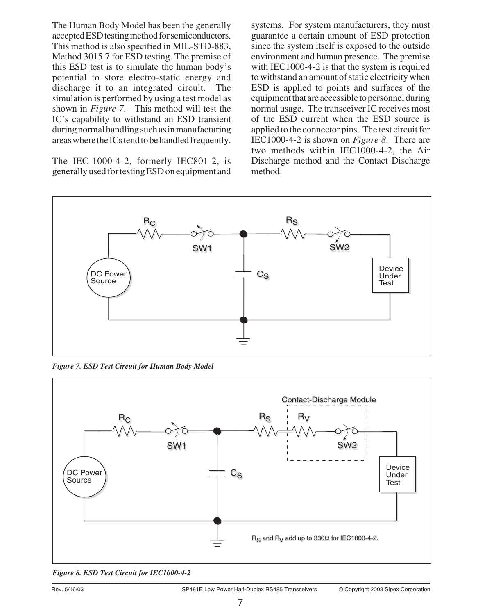The Human Body Model has been the generally accepted ESD testing method for semiconductors. This method is also specified in MIL-STD-883, Method 3015.7 for ESD testing. The premise of this ESD test is to simulate the human body's potential to store electro-static energy and discharge it to an integrated circuit. The simulation is performed by using a test model as shown in *Figure 7*. This method will test the IC's capability to withstand an ESD transient during normal handling such as in manufacturing areas where the ICs tend to be handled frequently.

The IEC-1000-4-2, formerly IEC801-2, is generally used for testing ESD on equipment and

systems. For system manufacturers, they must guarantee a certain amount of ESD protection since the system itself is exposed to the outside environment and human presence. The premise with IEC1000-4-2 is that the system is required to withstand an amount of static electricity when ESD is applied to points and surfaces of the equipment that are accessible to personnel during normal usage. The transceiver IC receives most of the ESD current when the ESD source is applied to the connector pins. The test circuit for IEC1000-4-2 is shown on *Figure 8*. There are two methods within IEC1000-4-2, the Air Discharge method and the Contact Discharge method.



*Figure 7. ESD Test Circuit for Human Body Model*



*Figure 8. ESD Test Circuit for IEC1000-4-2*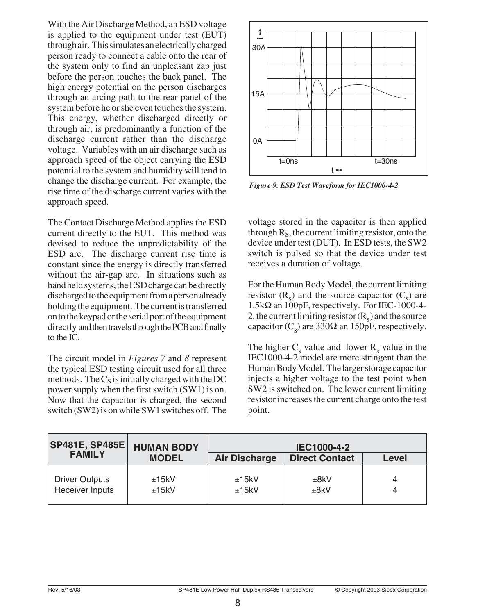With the Air Discharge Method, an ESD voltage is applied to the equipment under test (EUT) through air. This simulates an electrically charged person ready to connect a cable onto the rear of the system only to find an unpleasant zap just before the person touches the back panel. The high energy potential on the person discharges through an arcing path to the rear panel of the system before he or she even touches the system. This energy, whether discharged directly or through air, is predominantly a function of the discharge current rather than the discharge voltage. Variables with an air discharge such as approach speed of the object carrying the ESD potential to the system and humidity will tend to change the discharge current. For example, the rise time of the discharge current varies with the approach speed.

The Contact Discharge Method applies the ESD current directly to the EUT. This method was devised to reduce the unpredictability of the ESD arc. The discharge current rise time is constant since the energy is directly transferred without the air-gap arc. In situations such as hand held systems, the ESD charge can be directly discharged to the equipment from a person already holding the equipment. The current is transferred on to the keypad or the serial port of the equipment directly and then travels through the PCB and finally to the IC.

The circuit model in *Figures 7* and *8* represent the typical ESD testing circuit used for all three methods. The  $C_S$  is initially charged with the DC power supply when the first switch (SW1) is on. Now that the capacitor is charged, the second switch (SW2) is on while SW1 switches off. The



*Figure 9. ESD Test Waveform for IEC1000-4-2*

voltage stored in the capacitor is then applied through  $R<sub>S</sub>$ , the current limiting resistor, onto the device under test (DUT). In ESD tests, the SW2 switch is pulsed so that the device under test receives a duration of voltage.

For the Human Body Model, the current limiting resistor  $(R_s)$  and the source capacitor  $(C_s)$  are  $1.5k\Omega$  an  $100pF$ , respectively. For IEC-1000-4-2, the current limiting resistor  $(R<sub>s</sub>)$  and the source capacitor ( $C_s$ ) are 330 $\Omega$  an 150pF, respectively.

The higher  $C_s$  value and lower  $R_s$  value in the IEC1000-4-2 model are more stringent than the Human Body Model. The larger storage capacitor injects a higher voltage to the test point when SW2 is switched on. The lower current limiting resistor increases the current charge onto the test point.

| <b>SP481E, SP485E</b>                    | <b>HUMAN BODY</b> | <b>IEC1000-4-2</b>   |                       |       |  |  |
|------------------------------------------|-------------------|----------------------|-----------------------|-------|--|--|
| <b>FAMILY</b>                            | <b>MODEL</b>      | <b>Air Discharge</b> | <b>Direct Contact</b> | Level |  |  |
| <b>Driver Outputs</b><br>Receiver Inputs | ±15kV<br>±15kV    | ±15kV<br>±15kV       | ±8kV<br>±8kV          |       |  |  |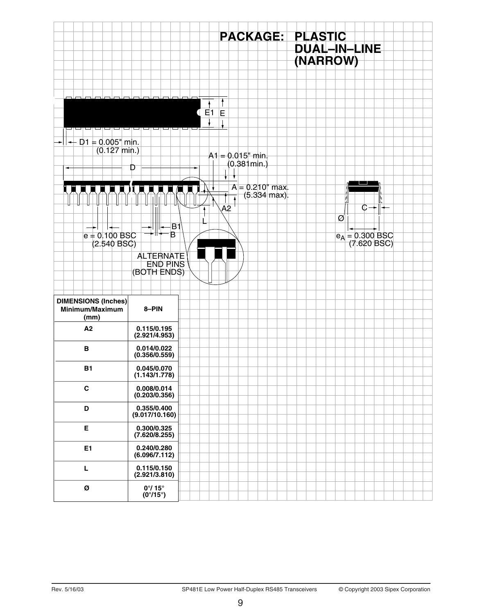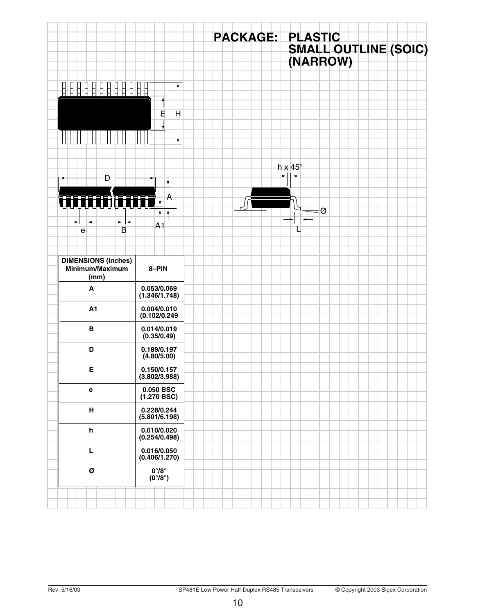